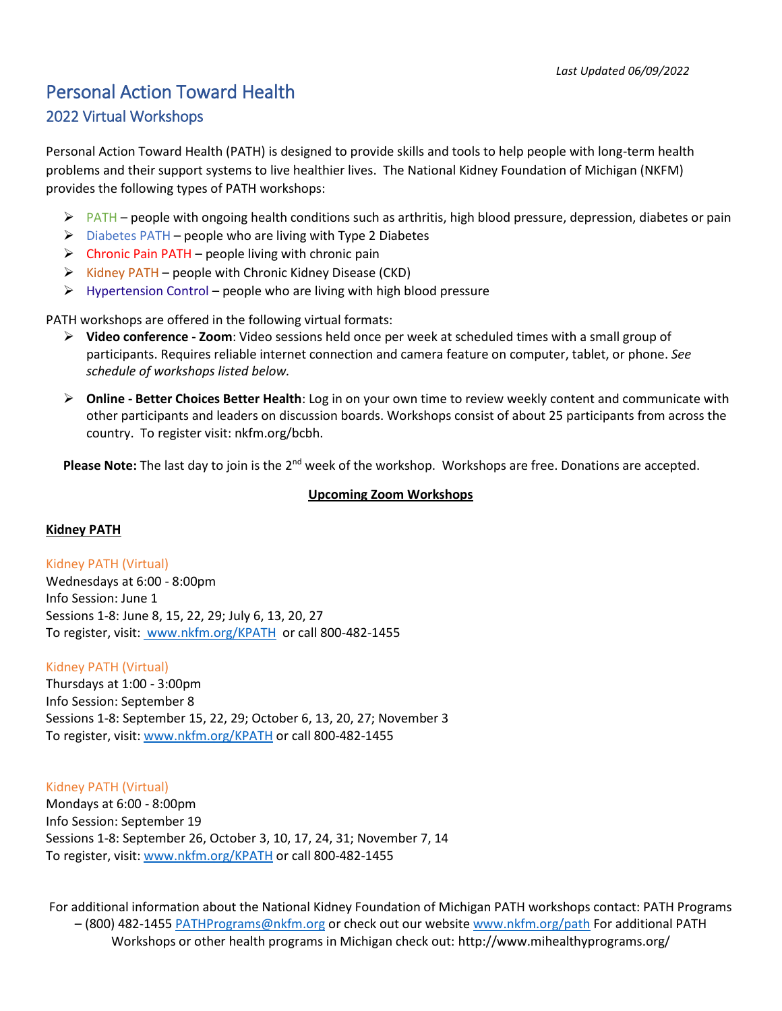# Personal Action Toward Health 2022 Virtual Workshops

Personal Action Toward Health (PATH) is designed to provide skills and tools to help people with long-term health problems and their support systems to live healthier lives. The National Kidney Foundation of Michigan (NKFM) provides the following types of PATH workshops:

- $\triangleright$  PATH people with ongoing health conditions such as arthritis, high blood pressure, depression, diabetes or pain
- $\triangleright$  Diabetes PATH people who are living with Type 2 Diabetes
- $\triangleright$  Chronic Pain PATH people living with chronic pain
- $\triangleright$  Kidney PATH people with Chronic Kidney Disease (CKD)
- $\triangleright$  Hypertension Control people who are living with high blood pressure

PATH workshops are offered in the following virtual formats:

- **Video conference - Zoom**: Video sessions held once per week at scheduled times with a small group of participants. Requires reliable internet connection and camera feature on computer, tablet, or phone. *See schedule of workshops listed below.*
- **Online - Better Choices Better Health**: Log in on your own time to review weekly content and communicate with other participants and leaders on discussion boards. Workshops consist of about 25 participants from across the country. To register visit: nkfm.org/bcbh.

Please Note: The last day to join is the 2<sup>nd</sup> week of the workshop. Workshops are free. Donations are accepted.

## **Upcoming Zoom Workshops**

## **Kidney PATH**

Kidney PATH (Virtual) Wednesdays at 6:00 - 8:00pm Info Session: June 1 Sessions 1-8: June 8, 15, 22, 29; July 6, 13, 20, 27 To register, visit: [www.nkfm.org/KPATH](https://nam02.safelinks.protection.outlook.com/?url=http%3A%2F%2Fwww.nkfm.org%2FKPATH&data=04%7C01%7Ckbauman%40nkfm.org%7C754d0840ab2d41e0451408da1e3e4d67%7C17355d61fa914e2dbdcdfd996065aa84%7C0%7C0%7C637855550195581017%7CUnknown%7CTWFpbGZsb3d8eyJWIjoiMC4wLjAwMDAiLCJQIjoiV2luMzIiLCJBTiI6Ik1haWwiLCJXVCI6Mn0%3D%7C3000&sdata=BJsM%2FqEgP1TriNI%2FnpXv0pT0QPkCVpWYTFIrdAWutEQ%3D&reserved=0) or call 800-482-1455

#### Kidney PATH (Virtual)

Thursdays at 1:00 - 3:00pm Info Session: September 8 Sessions 1-8: September 15, 22, 29; October 6, 13, 20, 27; November 3 To register, visit[: www.nkfm.org/KPATH](https://nam02.safelinks.protection.outlook.com/?url=http%3A%2F%2Fwww.nkfm.org%2FKPATH&data=04%7C01%7Ckbauman%40nkfm.org%7C754d0840ab2d41e0451408da1e3e4d67%7C17355d61fa914e2dbdcdfd996065aa84%7C0%7C0%7C637855550195581017%7CUnknown%7CTWFpbGZsb3d8eyJWIjoiMC4wLjAwMDAiLCJQIjoiV2luMzIiLCJBTiI6Ik1haWwiLCJXVCI6Mn0%3D%7C3000&sdata=BJsM%2FqEgP1TriNI%2FnpXv0pT0QPkCVpWYTFIrdAWutEQ%3D&reserved=0) or call 800-482-1455

Kidney PATH (Virtual)

Mondays at 6:00 - 8:00pm Info Session: September 19 Sessions 1-8: September 26, October 3, 10, 17, 24, 31; November 7, 14 To register, visit[: www.nkfm.org/KPATH](https://nam02.safelinks.protection.outlook.com/?url=http%3A%2F%2Fwww.nkfm.org%2FKPATH&data=04%7C01%7Ckbauman%40nkfm.org%7C754d0840ab2d41e0451408da1e3e4d67%7C17355d61fa914e2dbdcdfd996065aa84%7C0%7C0%7C637855550195581017%7CUnknown%7CTWFpbGZsb3d8eyJWIjoiMC4wLjAwMDAiLCJQIjoiV2luMzIiLCJBTiI6Ik1haWwiLCJXVCI6Mn0%3D%7C3000&sdata=BJsM%2FqEgP1TriNI%2FnpXv0pT0QPkCVpWYTFIrdAWutEQ%3D&reserved=0) or call 800-482-1455

For additional information about the National Kidney Foundation of Michigan PATH workshops contact: PATH Programs – (800) 482-1455 [PATHPrograms@nkfm.org](mailto:PATHPrograms@nkfm.org) or check out our websit[e www.nkfm.org/path](http://www.nkfm.org/path) For additional PATH Workshops or other health programs in Michigan check out: http://www.mihealthyprograms.org/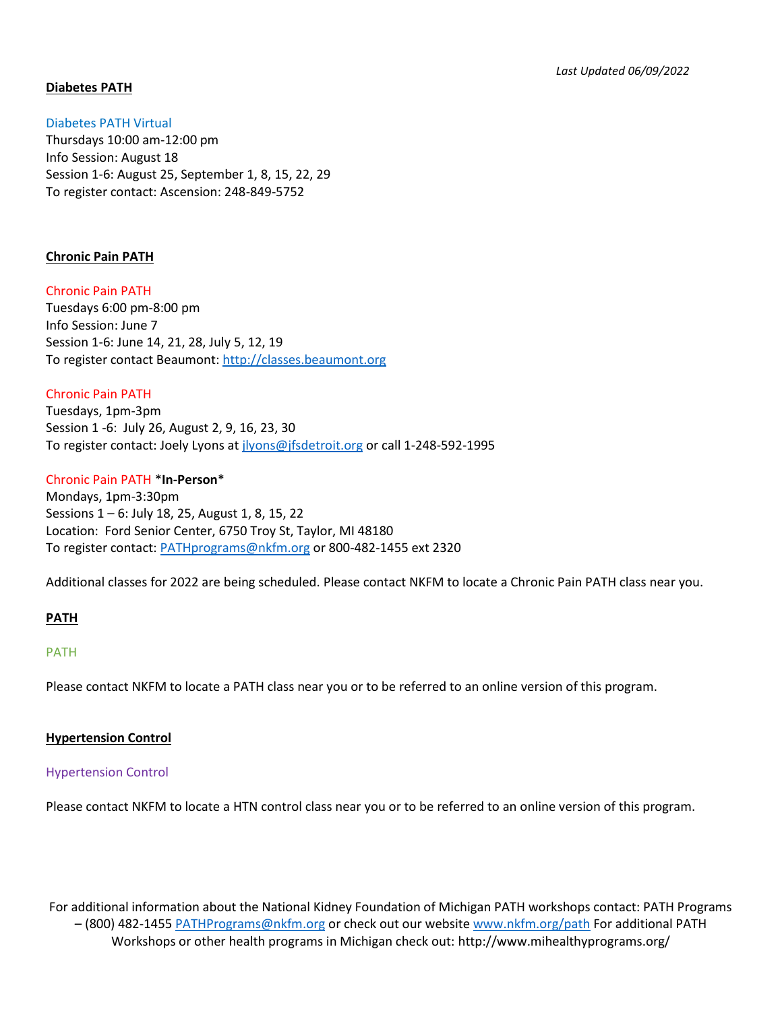# **Diabetes PATH**

Diabetes PATH Virtual Thursdays 10:00 am-12:00 pm Info Session: August 18 Session 1-6: August 25, September 1, 8, 15, 22, 29 To register contact: Ascension: 248-849-5752

## **Chronic Pain PATH**

Chronic Pain PATH Tuesdays 6:00 pm-8:00 pm Info Session: June 7 Session 1-6: June 14, 21, 28, July 5, 12, 19 To register contact Beaumont: [http://classes.beaumont.org](http://classes.beaumont.org/)

Chronic Pain PATH Tuesdays, 1pm-3pm Session 1 -6: July 26, August 2, 9, 16, 23, 30 To register contact: Joely Lyons a[t jlyons@jfsdetroit.org](mailto:jlyons@jfsdetroit.org) or call 1-248-592-1995

## Chronic Pain PATH \***In-Person**\*

Mondays, 1pm-3:30pm Sessions 1 – 6: July 18, 25, August 1, 8, 15, 22 Location: Ford Senior Center, 6750 Troy St, Taylor, MI 48180 To register contact: [PATHprograms@nkfm.org](mailto:PATHprograms@nkfm.org) or 800-482-1455 ext 2320

Additional classes for 2022 are being scheduled. Please contact NKFM to locate a Chronic Pain PATH class near you.

## **PATH**

## PATH

Please contact NKFM to locate a PATH class near you or to be referred to an online version of this program.

#### **Hypertension Control**

## Hypertension Control

Please contact NKFM to locate a HTN control class near you or to be referred to an online version of this program.

For additional information about the National Kidney Foundation of Michigan PATH workshops contact: PATH Programs – (800) 482-1455 [PATHPrograms@nkfm.org](mailto:PATHPrograms@nkfm.org) or check out our websit[e www.nkfm.org/path](http://www.nkfm.org/path) For additional PATH Workshops or other health programs in Michigan check out: http://www.mihealthyprograms.org/